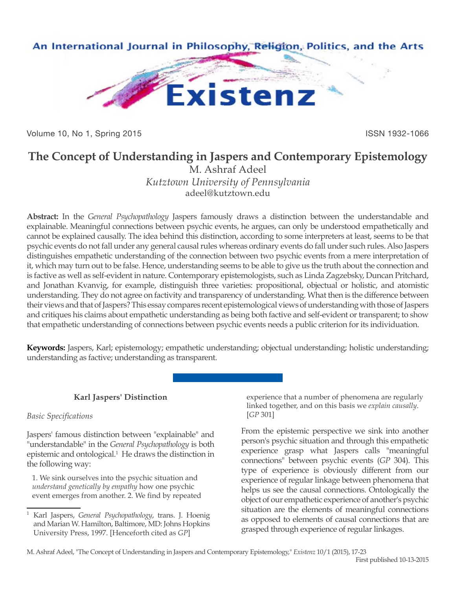

Volume 10, No 1, Spring 2015 **ISSN 1932-1066** ISSN 1932-1066

# **The Concept of Understanding in Jaspers and Contemporary Epistemology**

M. Ashraf Adeel *Kutztown University of Pennsylvania* adeel@kutztown.edu

**Abstract:** In the *General Psychopathology* Jaspers famously draws a distinction between the understandable and explainable. Meaningful connections between psychic events, he argues, can only be understood empathetically and cannot be explained causally. The idea behind this distinction, according to some interpreters at least, seems to be that psychic events do not fall under any general causal rules whereas ordinary events do fall under such rules. Also Jaspers distinguishes empathetic understanding of the connection between two psychic events from a mere interpretation of it, which may turn out to be false. Hence, understanding seems to be able to give us the truth about the connection and is factive as well as self-evident in nature. Contemporary epistemologists, such as Linda Zagzebsky, Duncan Pritchard, and Jonathan Kvanvig, for example, distinguish three varieties: propositional, objectual or holistic, and atomistic understanding. They do not agree on factivity and transparency of understanding. What then is the difference between their views and that of Jaspers? This essay compares recent epistemological views of understanding with those of Jaspers and critiques his claims about empathetic understanding as being both factive and self-evident or transparent; to show that empathetic understanding of connections between psychic events needs a public criterion for its individuation.

**Keywords:** Jaspers, Karl; epistemology; empathetic understanding; objectual understanding; holistic understanding; understanding as factive; understanding as transparent.

## **Karl Jaspers' Distinction**

### *Basic Specifications*

Jaspers' famous distinction between "explainable" and "understandable" in the *General Psychopathology* is both epistemic and ontological.<sup>1</sup> He draws the distinction in the following way:

1. We sink ourselves into the psychic situation and *understand genetically by empathy* how one psychic event emerges from another. 2. We find by repeated experience that a number of phenomena are regularly linked together, and on this basis we *explain causally*. [*GP* 301]

From the epistemic perspective we sink into another person's psychic situation and through this empathetic experience grasp what Jaspers calls "meaningful connections" between psychic events (*GP* 304). This type of experience is obviously different from our experience of regular linkage between phenomena that helps us see the causal connections. Ontologically the object of our empathetic experience of another's psychic situation are the elements of meaningful connections as opposed to elements of causal connections that are grasped through experience of regular linkages.

<sup>1</sup> Karl Jaspers, *General Psychopathology*, trans. J. Hoenig and Marian W. Hamilton, Baltimore, MD: Johns Hopkins University Press, 1997. [Henceforth cited as *GP*]

M. Ashraf Adeel, "The Concept of Understanding in Jaspers and Contemporary Epistemology," *Existenz* 10/1 (2015), 17-23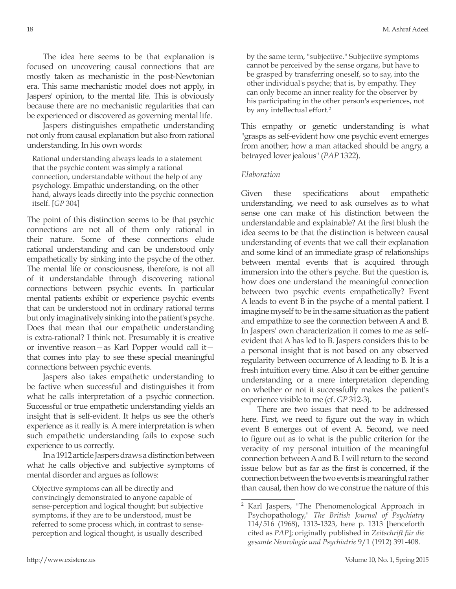The idea here seems to be that explanation is focused on uncovering causal connections that are mostly taken as mechanistic in the post-Newtonian era. This same mechanistic model does not apply, in Jaspers' opinion, to the mental life. This is obviously because there are no mechanistic regularities that can be experienced or discovered as governing mental life.

Jaspers distinguishes empathetic understanding not only from causal explanation but also from rational understanding. In his own words:

Rational understanding always leads to a statement that the psychic content was simply a rational connection, understandable without the help of any psychology. Empathic understanding, on the other hand, always leads directly into the psychic connection itself. [*GP* 304]

The point of this distinction seems to be that psychic connections are not all of them only rational in their nature. Some of these connections elude rational understanding and can be understood only empathetically by sinking into the psyche of the other. The mental life or consciousness, therefore, is not all of it understandable through discovering rational connections between psychic events. In particular mental patients exhibit or experience psychic events that can be understood not in ordinary rational terms but only imaginatively sinking into the patient's psyche. Does that mean that our empathetic understanding is extra-rational? I think not. Presumably it is creative or inventive reason—as Karl Popper would call it that comes into play to see these special meaningful connections between psychic events.

Jaspers also takes empathetic understanding to be factive when successful and distinguishes it from what he calls interpretation of a psychic connection. Successful or true empathetic understanding yields an insight that is self-evident. It helps us see the other's experience as it really is. A mere interpretation is when such empathetic understanding fails to expose such experience to us correctly.

In a 1912 article Jaspers draws a distinction between what he calls objective and subjective symptoms of mental disorder and argues as follows:

Objective symptoms can all be directly and convincingly demonstrated to anyone capable of sense-perception and logical thought; but subjective symptoms, if they are to be understood, must be referred to some process which, in contrast to senseperception and logical thought, is usually described

by the same term, "subjective." Subjective symptoms cannot be perceived by the sense organs, but have to be grasped by transferring oneself, so to say, into the other individual's psyche; that is, by empathy. They can only become an inner reality for the observer by his participating in the other person's experiences, not by any intellectual effort.2

This empathy or genetic understanding is what "grasps as self-evident how one psychic event emerges from another; how a man attacked should be angry, a betrayed lover jealous" (*PAP* 1322).

## *Elaboration*

Given these specifications about empathetic understanding, we need to ask ourselves as to what sense one can make of his distinction between the understandable and explainable? At the first blush the idea seems to be that the distinction is between causal understanding of events that we call their explanation and some kind of an immediate grasp of relationships between mental events that is acquired through immersion into the other's psyche. But the question is, how does one understand the meaningful connection between two psychic events empathetically? Event A leads to event B in the psyche of a mental patient. I imagine myself to be in the same situation as the patient and empathize to see the connection between A and B. In Jaspers' own characterization it comes to me as selfevident that A has led to B. Jaspers considers this to be a personal insight that is not based on any observed regularity between occurrence of A leading to B. It is a fresh intuition every time. Also it can be either genuine understanding or a mere interpretation depending on whether or not it successfully makes the patient's experience visible to me (cf. *GP* 312-3).

There are two issues that need to be addressed here. First, we need to figure out the way in which event B emerges out of event A. Second, we need to figure out as to what is the public criterion for the veracity of my personal intuition of the meaningful connection between A and B. I will return to the second issue below but as far as the first is concerned, if the connection between the two events is meaningful rather than causal, then how do we construe the nature of this

<sup>2</sup> Karl Jaspers, "The Phenomenological Approach in Psychopathology," *The British Journal of Psychiatry* 114/516 (1968), 1313-1323, here p. 1313 [henceforth cited as *PAP*]; originally published in *Zeitschrift für die gesamte Neurologie und Psychiatrie* 9/1 (1912) 391-408.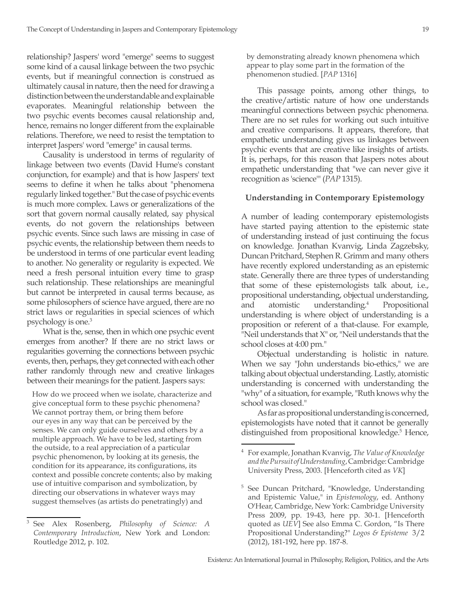relationship? Jaspers' word "emerge" seems to suggest some kind of a causal linkage between the two psychic events, but if meaningful connection is construed as ultimately causal in nature, then the need for drawing a distinction between the understandable and explainable evaporates. Meaningful relationship between the two psychic events becomes causal relationship and, hence, remains no longer different from the explainable relations. Therefore, we need to resist the temptation to interpret Jaspers' word "emerge" in causal terms.

Causality is understood in terms of regularity of linkage between two events (David Hume's constant conjunction, for example) and that is how Jaspers' text seems to define it when he talks about "phenomena regularly linked together." But the case of psychic events is much more complex. Laws or generalizations of the sort that govern normal causally related, say physical events, do not govern the relationships between psychic events. Since such laws are missing in case of psychic events, the relationship between them needs to be understood in terms of one particular event leading to another. No generality or regularity is expected. We need a fresh personal intuition every time to grasp such relationship. These relationships are meaningful but cannot be interpreted in causal terms because, as some philosophers of science have argued, there are no strict laws or regularities in special sciences of which psychology is one.3

What is the, sense, then in which one psychic event emerges from another? If there are no strict laws or regularities governing the connections between psychic events, then, perhaps, they get connected with each other rather randomly through new and creative linkages between their meanings for the patient. Jaspers says:

How do we proceed when we isolate, characterize and give conceptual form to these psychic phenomena? We cannot portray them, or bring them before our eyes in any way that can be perceived by the senses. We can only guide ourselves and others by a multiple approach. We have to be led, starting from the outside, to a real appreciation of a particular psychic phenomenon, by looking at its genesis, the condition for its appearance, its configurations, its context and possible concrete contents; also by making use of intuitive comparison and symbolization, by directing our observations in whatever ways may suggest themselves (as artists do penetratingly) and

by demonstrating already known phenomena which appear to play some part in the formation of the phenomenon studied. [*PAP* 1316]

This passage points, among other things, to the creative/artistic nature of how one understands meaningful connections between psychic phenomena. There are no set rules for working out such intuitive and creative comparisons. It appears, therefore, that empathetic understanding gives us linkages between psychic events that are creative like insights of artists. It is, perhaps, for this reason that Jaspers notes about empathetic understanding that "we can never give it recognition as 'science'" (*PAP* 1315).

#### **Understanding in Contemporary Epistemology**

A number of leading contemporary epistemologists have started paying attention to the epistemic state of understanding instead of just continuing the focus on knowledge. Jonathan Kvanvig, Linda Zagzebsky, Duncan Pritchard, Stephen R. Grimm and many others have recently explored understanding as an epistemic state. Generally there are three types of understanding that some of these epistemologists talk about, i.e., propositional understanding, objectual understanding, and atomistic understanding.4 Propositional understanding is where object of understanding is a proposition or referent of a that-clause. For example, "Neil understands that X" or, "Neil understands that the school closes at 4:00 pm."

Objectual understanding is holistic in nature. When we say "John understands bio-ethics," we are talking about objectual understanding. Lastly, atomistic understanding is concerned with understanding the "why" of a situation, for example, "Ruth knows why the school was closed."

As far as propositional understanding is concerned, epistemologists have noted that it cannot be generally distinguished from propositional knowledge.<sup>5</sup> Hence,

<sup>3</sup> See Alex Rosenberg, *Philosophy of Science: A Contemporary Introduction*, New York and London: Routledge 2012, p. 102.

<sup>4</sup> For example, Jonathan Kvanvig, *The Value of Knowledge and the Pursuit of Understanding*, Cambridge: Cambridge University Press, 2003. [Henceforth cited as *VK*]

<sup>5</sup> See Duncan Pritchard, "Knowledge, Understanding and Epistemic Value," in *Epistemology*, ed. Anthony O'Hear, Cambridge, New York: Cambridge University Press 2009, pp. 19-43, here pp. 30-1. [Henceforth quoted as *UEV*] See also Emma C. Gordon, "Is There Propositional Understanding?" *Logos & Episteme* 3/2 (2012), 181-192, here pp. 187-8.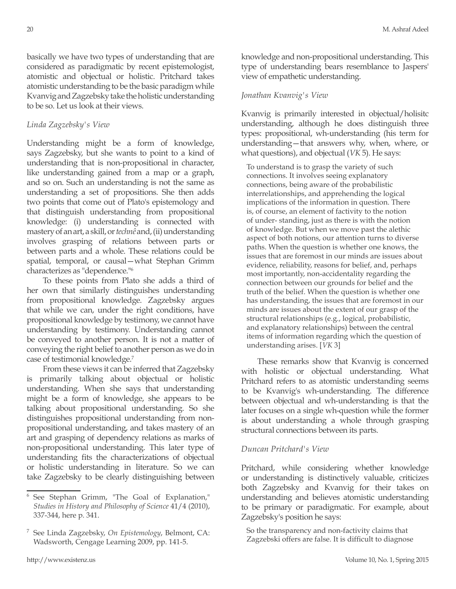basically we have two types of understanding that are considered as paradigmatic by recent epistemologist, atomistic and objectual or holistic. Pritchard takes atomistic understanding to be the basic paradigm while Kvanvig and Zagzebsky take the holistic understanding to be so. Let us look at their views.

### *Linda Zagzebsky's View*

Understanding might be a form of knowledge, says Zagzebsky, but she wants to point to a kind of understanding that is non-propositional in character, like understanding gained from a map or a graph, and so on. Such an understanding is not the same as understanding a set of propositions. She then adds two points that come out of Plato's epistemology and that distinguish understanding from propositional knowledge: (i) understanding is connected with mastery of an art, a skill, or *technê* and, (ii) understanding involves grasping of relations between parts or between parts and a whole. These relations could be spatial, temporal, or causal—what Stephan Grimm characterizes as "dependence."6

To these points from Plato she adds a third of her own that similarly distinguishes understanding from propositional knowledge. Zagzebsky argues that while we can, under the right conditions, have propositional knowledge by testimony, we cannot have understanding by testimony. Understanding cannot be conveyed to another person. It is not a matter of conveying the right belief to another person as we do in case of testimonial knowledge.7

From these views it can be inferred that Zagzebsky is primarily talking about objectual or holistic understanding. When she says that understanding might be a form of knowledge, she appears to be talking about propositional understanding. So she distinguishes propositional understanding from nonpropositional understanding, and takes mastery of an art and grasping of dependency relations as marks of non-propositional understanding. This later type of understanding fits the characterizations of objectual or holistic understanding in literature. So we can take Zagzebsky to be clearly distinguishing between knowledge and non-propositional understanding. This type of understanding bears resemblance to Jaspers' view of empathetic understanding.

#### *Jonathan Kvanvig's View*

Kvanvig is primarily interested in objectual/holisitc understanding, although he does distinguish three types: propositional, wh-understanding (his term for understanding—that answers why, when, where, or what questions), and objectual (*VK* 5). He says:

To understand is to grasp the variety of such connections. It involves seeing explanatory connections, being aware of the probabilistic interrelationships, and apprehending the logical implications of the information in question. There is, of course, an element of factivity to the notion of under- standing, just as there is with the notion of knowledge. But when we move past the alethic aspect of both notions, our attention turns to diverse paths. When the question is whether one knows, the issues that are foremost in our minds are issues about evidence, reliability, reasons for belief, and, perhaps most importantly, non-accidentality regarding the connection between our grounds for belief and the truth of the belief. When the question is whether one has understanding, the issues that are foremost in our minds are issues about the extent of our grasp of the structural relationships (e.g., logical, probabilistic, and explanatory relationships) between the central items of information regarding which the question of understanding arises. [*VK* 3]

These remarks show that Kvanvig is concerned with holistic or objectual understanding. What Pritchard refers to as atomistic understanding seems to be Kvanvig's wh-understanding. The difference between objectual and wh-understanding is that the later focuses on a single wh-question while the former is about understanding a whole through grasping structural connections between its parts.

#### *Duncan Pritchard's View*

Pritchard, while considering whether knowledge or understanding is distinctively valuable, criticizes both Zagzebsky and Kvanvig for their takes on understanding and believes atomistic understanding to be primary or paradigmatic. For example, about Zagzebsky's position he says:

So the transparency and non-factivity claims that Zagzebski offers are false. It is difficult to diagnose

<sup>6</sup> See Stephan Grimm, "The Goal of Explanation," *Studies in History and Philosophy of Science* 41/4 (2010), 337-344, here p. 341.

<sup>7</sup> See Linda Zagzebsky, *On Epistemology*, Belmont, CA: Wadsworth, Cengage Learning 2009, pp. 141-5.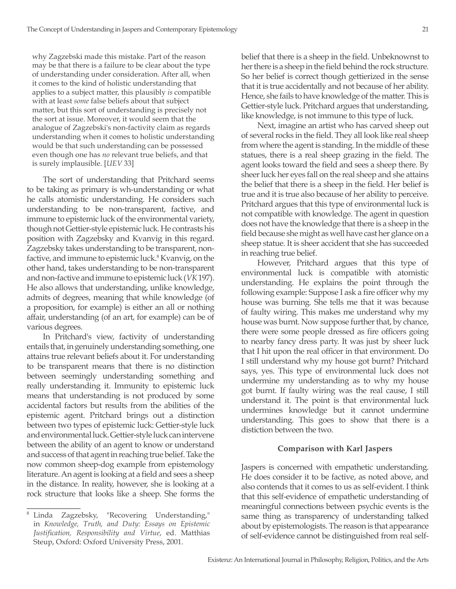why Zagzebski made this mistake. Part of the reason may be that there is a failure to be clear about the type of understanding under consideration. After all, when it comes to the kind of holistic understanding that applies to a subject matter, this plausibly *is* compatible with at least *some* false beliefs about that subject matter, but this sort of understanding is precisely not the sort at issue. Moreover, it would seem that the analogue of Zagzebski's non-factivity claim as regards understanding when it comes to holistic understanding would be that such understanding can be possessed even though one has *no* relevant true beliefs, and that is surely implausible. [*UEV* 33]

The sort of understanding that Pritchard seems to be taking as primary is wh-understanding or what he calls atomistic understanding. He considers such understanding to be non-transparent, factive, and immune to epistemic luck of the environmental variety, though not Gettier-style epistemic luck. He contrasts his position with Zagzebsky and Kvanvig in this regard. Zagzebsky takes understanding to be transparent, nonfactive, and immune to epistemic luck.<sup>8</sup> Kvanvig, on the other hand, takes understanding to be non-transparent and non-factive and immune to epistemic luck (*VK* 197). He also allows that understanding, unlike knowledge, admits of degrees, meaning that while knowledge (of a proposition, for example) is either an all or nothing affair, understanding (of an art, for example) can be of various degrees.

In Pritchard's view, factivity of understanding entails that, in genuinely understanding something, one attains true relevant beliefs about it. For understanding to be transparent means that there is no distinction between seemingly understanding something and really understanding it. Immunity to epistemic luck means that understanding is not produced by some accidental factors but results from the abilities of the epistemic agent. Pritchard brings out a distinction between two types of epistemic luck: Gettier-style luck and environmental luck. Gettier-style luck can intervene between the ability of an agent to know or understand and success of that agent in reaching true belief. Take the now common sheep-dog example from epistemology literature. An agent is looking at a field and sees a sheep in the distance. In reality, however, she is looking at a rock structure that looks like a sheep. She forms the belief that there is a sheep in the field. Unbeknownst to her there is a sheep in the field behind the rock structure. So her belief is correct though gettierized in the sense that it is true accidentally and not because of her ability. Hence, she fails to have knowledge of the matter. This is Gettier-style luck. Pritchard argues that understanding, like knowledge, is not immune to this type of luck.

Next, imagine an artist who has carved sheep out of several rocks in the field. They all look like real sheep from where the agent is standing. In the middle of these statues, there is a real sheep grazing in the field. The agent looks toward the field and sees a sheep there. By sheer luck her eyes fall on the real sheep and she attains the belief that there is a sheep in the field. Her belief is true and it is true also because of her ability to perceive. Pritchard argues that this type of environmental luck is not compatible with knowledge. The agent in question does not have the knowledge that there is a sheep in the field because she might as well have cast her glance on a sheep statue. It is sheer accident that she has succeeded in reaching true belief.

However, Pritchard argues that this type of environmental luck is compatible with atomistic understanding. He explains the point through the following example: Suppose I ask a fire officer why my house was burning. She tells me that it was because of faulty wiring. This makes me understand why my house was burnt. Now suppose further that, by chance, there were some people dressed as fire officers going to nearby fancy dress party. It was just by sheer luck that I hit upon the real officer in that environment. Do I still understand why my house got burnt? Pritchard says, yes. This type of environmental luck does not undermine my understanding as to why my house got burnt. If faulty wiring was the real cause, I still understand it. The point is that environmental luck undermines knowledge but it cannot undermine understanding. This goes to show that there is a distiction between the two.

#### **Comparison with Karl Jaspers**

Jaspers is concerned with empathetic understanding. He does consider it to be factive, as noted above, and also contends that it comes to us as self-evident. I think that this self-evidence of empathetic understanding of meaningful connections between psychic events is the same thing as transparency of understanding talked about by epistemologists. The reason is that appearance of self-evidence cannot be distinguished from real self-

<sup>8</sup> Linda Zagzebsky, "Recovering Understanding," in *Knowledge, Truth, and Duty: Essays on Epistemic Justification, Responsibility and Virtue*, ed. Matthias Steup, Oxford: Oxford University Press, 2001.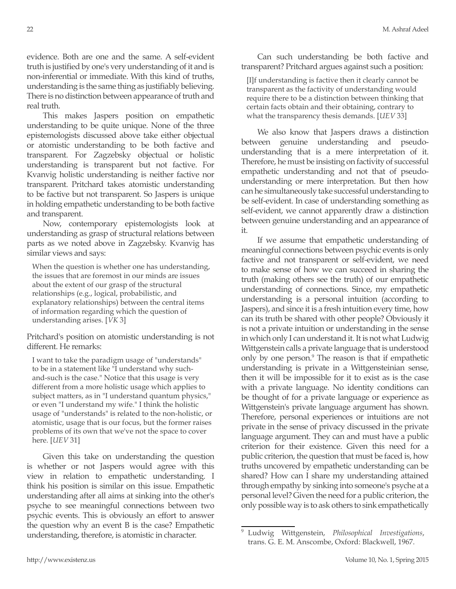evidence. Both are one and the same. A self-evident truth is justified by one's very understanding of it and is non-inferential or immediate. With this kind of truths, understanding is the same thing as justifiably believing. There is no distinction between appearance of truth and real truth.

This makes Jaspers position on empathetic understanding to be quite unique. None of the three epistemologists discussed above take either objectual or atomistic understanding to be both factive and transparent. For Zagzebsky objectual or holistic understanding is transparent but not factive. For Kvanvig holistic understanding is neither factive nor transparent. Pritchard takes atomistic understanding to be factive but not transparent. So Jaspers is unique in holding empathetic understanding to be both factive and transparent.

Now, contemporary epistemologists look at understanding as grasp of structural relations between parts as we noted above in Zagzebsky. Kvanvig has similar views and says:

When the question is whether one has understanding, the issues that are foremost in our minds are issues about the extent of our grasp of the structural relationships (e.g., logical, probabilistic, and explanatory relationships) between the central items of information regarding which the question of understanding arises. [*VK* 3]

Pritchard's position on atomistic understanding is not different. He remarks:

I want to take the paradigm usage of "understands" to be in a statement like "I understand why suchand-such is the case." Notice that this usage is very different from a more holistic usage which applies to subject matters, as in "I understand quantum physics," or even "I understand my wife." I think the holistic usage of "understands" is related to the non-holistic, or atomistic, usage that is our focus, but the former raises problems of its own that we've not the space to cover here. [*UEV* 31]

Given this take on understanding the question is whether or not Jaspers would agree with this view in relation to empathetic understanding. I think his position is similar on this issue. Empathetic understanding after all aims at sinking into the other's psyche to see meaningful connections between two psychic events. This is obviously an effort to answer the question why an event B is the case? Empathetic understanding, therefore, is atomistic in character.

Can such understanding be both factive and transparent? Pritchard argues against such a position:

[I]f understanding is factive then it clearly cannot be transparent as the factivity of understanding would require there to be a distinction between thinking that certain facts obtain and their obtaining, contrary to what the transparency thesis demands. [*UEV* 33]

We also know that Jaspers draws a distinction between genuine understanding and pseudounderstanding that is a mere interpretation of it. Therefore, he must be insisting on factivity of successful empathetic understanding and not that of pseudounderstanding or mere interpretation. But then how can he simultaneously take successful understanding to be self-evident. In case of understanding something as self-evident, we cannot apparently draw a distinction between genuine understanding and an appearance of it.

If we assume that empathetic understanding of meaningful connections between psychic events is only factive and not transparent or self-evident, we need to make sense of how we can succeed in sharing the truth (making others see the truth) of our empathetic understanding of connections. Since, my empathetic understanding is a personal intuition (according to Jaspers), and since it is a fresh intuition every time, how can its truth be shared with other people? Obviously it is not a private intuition or understanding in the sense in which only I can understand it. It is not what Ludwig Wittgenstein calls a private language that is understood only by one person.9 The reason is that if empathetic understanding is private in a Wittgensteinian sense, then it will be impossible for it to exist as is the case with a private language. No identity conditions can be thought of for a private language or experience as Wittgenstein's private language argument has shown. Therefore, personal experiences or intuitions are not private in the sense of privacy discussed in the private language argument. They can and must have a public criterion for their existence. Given this need for a public criterion, the question that must be faced is, how truths uncovered by empathetic understanding can be shared? How can I share my understanding attained through empathy by sinking into someone's psyche at a personal level? Given the need for a public criterion, the only possible way is to ask others to sink empathetically

<sup>9</sup> Ludwig Wittgenstein, *Philosophical Investigations*, trans. G. E. M. Anscombe, Oxford: Blackwell, 1967.